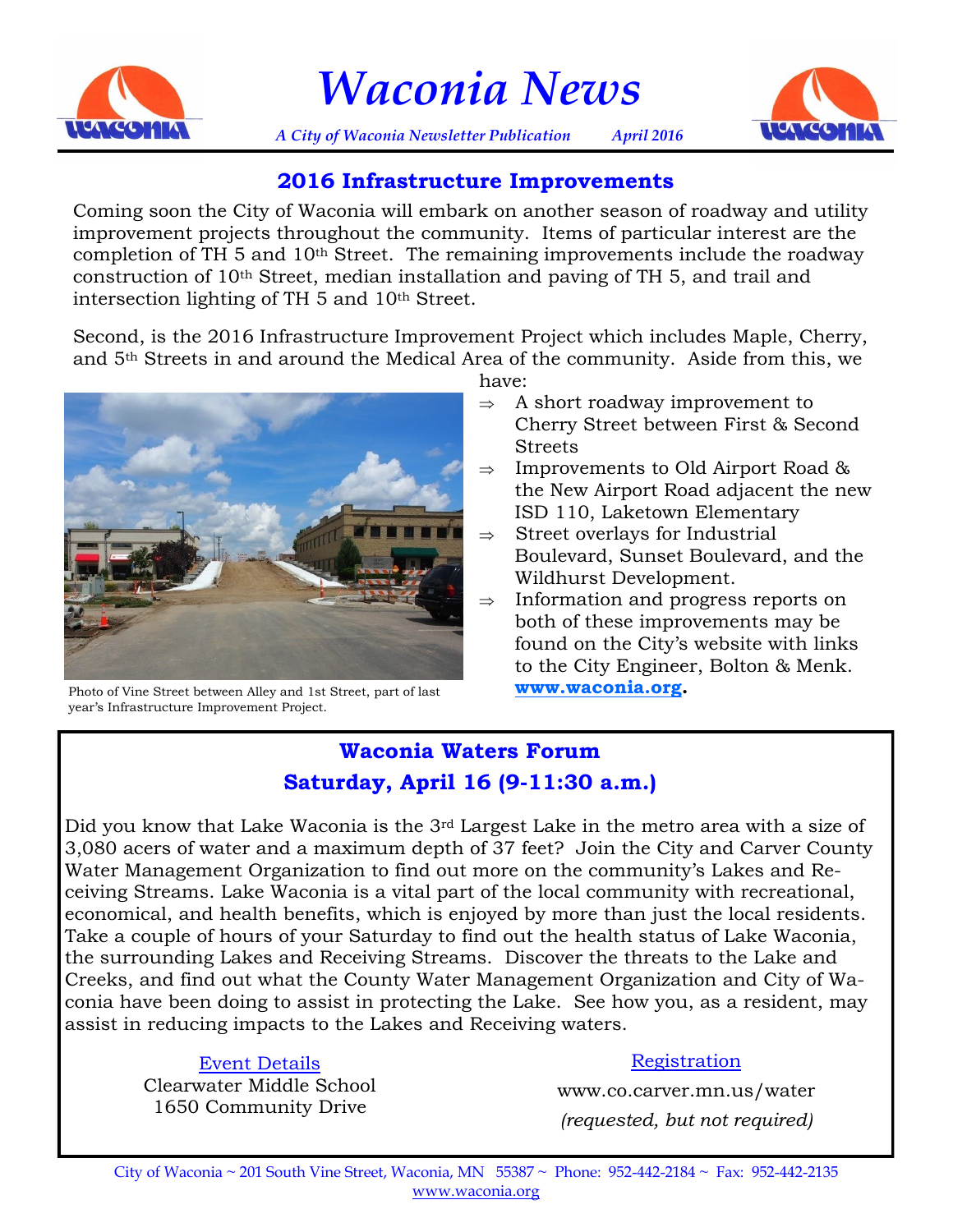

*Waconia News*



*A City of Waconia Newsletter Publication April 2016*

## **2016 Infrastructure Improvements**

Coming soon the City of Waconia will embark on another season of roadway and utility improvement projects throughout the community. Items of particular interest are the completion of TH 5 and 10th Street. The remaining improvements include the roadway construction of 10th Street, median installation and paving of TH 5, and trail and intersection lighting of TH 5 and 10th Street.

Second, is the 2016 Infrastructure Improvement Project which includes Maple, Cherry, and 5th Streets in and around the Medical Area of the community. Aside from this, we



Photo of Vine Street between Alley and 1st Street, part of last year's Infrastructure Improvement Project.

have:

- $\Rightarrow$  A short roadway improvement to Cherry Street between First & Second Streets
- $\Rightarrow$  Improvements to Old Airport Road & the New Airport Road adjacent the new ISD 110, Laketown Elementary
- $\Rightarrow$  Street overlays for Industrial Boulevard, Sunset Boulevard, and the Wildhurst Development.
- $\Rightarrow$  Information and progress reports on both of these improvements may be found on the City's website with links to the City Engineer, Bolton & Menk. **[www.waconia.org.](http://www.waconia.org)**

# **Waconia Waters Forum Saturday, April 16 (9-11:30 a.m.)**

Did you know that Lake Waconia is the 3rd Largest Lake in the metro area with a size of 3,080 acers of water and a maximum depth of 37 feet? Join the City and Carver County Water Management Organization to find out more on the community's Lakes and Receiving Streams. Lake Waconia is a vital part of the local community with recreational, economical, and health benefits, which is enjoyed by more than just the local residents. Take a couple of hours of your Saturday to find out the health status of Lake Waconia, the surrounding Lakes and Receiving Streams. Discover the threats to the Lake and Creeks, and find out what the County Water Management Organization and City of Waconia have been doing to assist in protecting the Lake. See how you, as a resident, may assist in reducing impacts to the Lakes and Receiving waters.

# Event Details

Clearwater Middle School 1650 Community Drive

### Registration

www.co.carver.mn.us/water *(requested, but not required)*